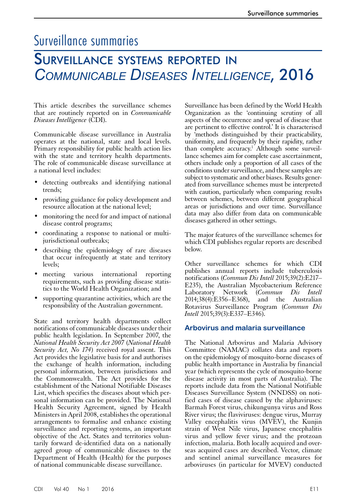# Surveillance summaries

# Surveillance systems reported in *Communicable Diseases Intelligence*, 2016

This article describes the surveillance schemes that are routinely reported on in *Communicable Diseases Intelligence* (CDI).

Communicable disease surveillance in Australia operates at the national, state and local levels. Primary responsibility for public health action lies with the state and territory health departments. The role of communicable disease surveillance at a national level includes:

- detecting outbreaks and identifying national trends;
- providing guidance for policy development and resource allocation at the national level;
- monitoring the need for and impact of national disease control programs;
- coordinating a response to national or multijurisdictional outbreaks;
- describing the epidemiology of rare diseases that occur infrequently at state and territory levels;
- meeting various international reporting requirements, such as providing disease statistics to the World Health Organization; and
- supporting quarantine activities, which are the responsibility of the Australian government.

State and territory health departments collect notifications of communicable diseases under their public health legislation. In September 2007, the *National Health Security Act 2007* (*National Health Security Act, No 174*) received royal assent. This Act provides the legislative basis for and authorises the exchange of health information, including personal information, between jurisdictions and the Commonwealth. The Act provides for the establishment of the National Notifiable Diseases List, which specifies the diseases about which personal information can be provided. The National Health Security Agreement, signed by Health Ministers in April 2008, establishes the operational arrangements to formalise and enhance existing surveillance and reporting systems, an important objective of the Act. States and territories voluntarily forward de-identified data on a nationally agreed group of communicable diseases to the Department of Health (Health) for the purposes of national communicable disease surveillance.

Surveillance has been defined by the World Health Organization as the 'continuing scrutiny of all aspects of the occurrence and spread of disease that are pertinent to effective control.' It is characterised by 'methods distinguished by their practicability, uniformity, and frequently by their rapidity, rather than complete accuracy.<sup>1</sup> Although some surveillance schemes aim for complete case ascertainment, others include only a proportion of all cases of the conditions under surveillance, and these samples are subject to systematic and other biases. Results generated from surveillance schemes must be interpreted with caution, particularly when comparing results between schemes, between different geographical areas or jurisdictions and over time. Surveillance data may also differ from data on communicable diseases gathered in other settings.

The major features of the surveillance schemes for which CDI publishes regular reports are described below.

Other surveillance schemes for which CDI publishes annual reports include tuberculosis notifications (*Commun Dis Intell* 2015;39(2):E217– E235), the Australian Mycobacterium Reference Laboratory Network (*Commun Dis Intell* 2014;38(4):E356–E368), and the Australian Rotavirus Surveillance Program (*Commun Dis Intell* 2015;39(3):E337–E346).

## **Arbovirus and malaria surveillance**

The National Arbovirus and Malaria Advisory Committee (NAMAC) collates data and reports on the epidemiology of mosquito-borne diseases of public health importance in Australia by financial year (which represents the cycle of mosquito-borne disease activity in most parts of Australia). The reports include data from the National Notifiable Diseases Surveillance System (NNDSS) on notified cases of disease caused by the alphaviruses: Barmah Forest virus, chikungunya virus and Ross River virus; the flaviviruses: dengue virus, Murray Valley encephalitis virus (MVEV), the Kunjin strain of West Nile virus, Japanese encephalitis virus and yellow fever virus; and the protzoan infection, malaria. Both locally acquired and overseas acquired cases are described. Vector, climate and sentinel animal surveillance measures for arboviruses (in particular for MVEV) conducted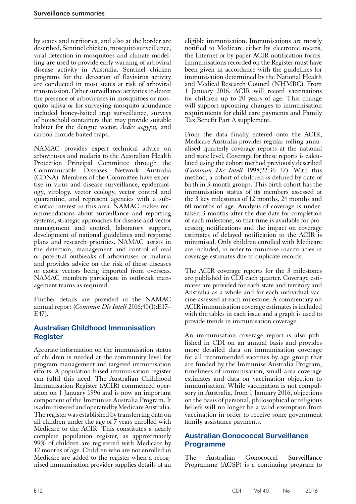by states and territories, and also at the border are described. Sentinel chicken, mosquito surveillance, viral detection in mosquitoes and climate modelling are used to provide early warning of arboviral disease activity in Australia. Sentinel chicken programs for the detection of flavivirus activity are conducted in most states at risk of arboviral transmission. Other surveillance activities to detect the presence of arboviruses in mosquitoes or mosquito saliva or for surveying mosquito abundance included honey-baited trap surveillance, surveys of household containers that may provide suitable habitat for the dengue vector, *Aedes aegypti,* and carbon dioxide baited traps.

NAMAC provides expert technical advice on arboviruses and malaria to the Australian Health Protection Principal Committee through the Communicable Diseases Network Australia (CDNA). Members of the Committee have expertise in virus and disease surveillance, epidemiology, virology, vector ecology, vector control and quarantine, and represent agencies with a substantial interest in this area. NAMAC makes recommendations about surveillance and reporting systems, strategic approaches for disease and vector management and control, laboratory support, development of national guidelines and response plans and research priorities. NAMAC assists in the detection, management and control of real or potential outbreaks of arboviruses or malaria and provides advice on the risk of these diseases or exotic vectors being imported from overseas. NAMAC members participate in outbreak man-<br>agement teams as required.

Further details are provided in the NAMAC annual report (*Commun Dis Intell* 2016;40(1):E17– E47).

# **Australian Childhood Immunisation Register**

Accurate information on the immunisation status of children is needed at the community level for program management and targeted immunisation efforts. A population-based immunisation register can fulfil this need. The Australian Childhood Immunisation Register (ACIR) commenced operation on 1 January 1996 and is now an important component of the Immunise Australia Program. It is administered and operated by Medicare Australia. The register was established by transferring data on all children under the age of 7 years enrolled with Medicare to the ACIR. This constitutes a nearly complete population register, as approximately 99% of children are registered with Medicare by 12 months of age. Children who are not enrolled in Medicare are added to the register when a recognised immunisation provider supplies details of an

eligible immunisation. Immunisations are mostly notified to Medicare either by electronic means, the Internet or by paper ACIR notification forms. Immunisations recorded on the Register must have been given in accordance with the guidelines for immunisation determined by the National Health and Medical Research Council (NHMRC). From 1 January 2016, ACIR will record vaccinations for children up to 20 years of age. This change will support upcoming changes to immunisation requirements for child care payments and Family Tax Benefit Part A supplement.

From the data finally entered onto the ACIR, Medicare Australia provides regular rolling annualised quarterly coverage reports at the national and state level. Coverage for these reports is calculated using the cohort method previously described (*Commun Dis Intell* 1998;22:36–37). With this method, a cohort of children is defined by date of birth in 3-month groups. This birth cohort has the immunisation status of its members assessed at the 3 key milestones of 12 months, 24 months and 60 months of age. Analysis of coverage is undertaken 3 months after the due date for completion of each milestone, so that time is available for processing notifications and the impact on coverage estimates of delayed notification to the ACIR is minimised. Only children enrolled with Medicare are included, in order to minimise inaccuracies in coverage estimates due to duplicate records.

The ACIR coverage reports for the 3 milestones are published in CDI each quarter. Coverage esti- mates are provided for each state and territory and Australia as a whole and for each individual vac- cine assessed at each milestone. A commentary on ACIR immunisation coverage estimates is included with the tables in each issue and a graph is used to provide trends in immunisation coverage.

An immunisation coverage report is also pub- lished in CDI on an annual basis and provides more detailed data on immunisation coverage for all recommended vaccines by age group that are funded by the Immunise Australia Program, timeliness of immunisation, small area coverage estimates and data on vaccination objection to immunisation. While vaccination is not compulsory in Australia, from 1 January 2016, objections on the basis of personal, philosophical or religious beliefs will no longer be a valid exemption from vaccination in order to receive some government family assistance payments.

# **Australian Gonococcal Surveillance Programme**

The Australian Gonococcal Surveillance Programme (AGSP) is a continuing program to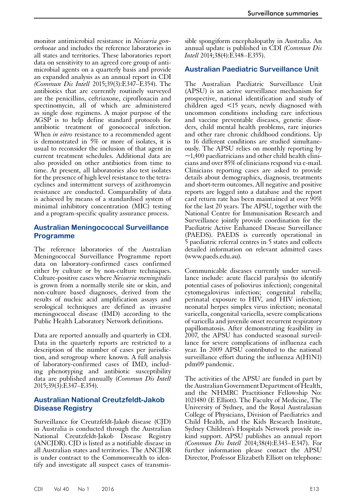monitor antimicrobial resistance in *Neisseria gonorrhoeae* and includes the reference laboratories in all states and territories. These laboratories report data on sensitivity to an agreed core group of antimicrobial agents on a quarterly basis and provide an expanded analysis as an annual report in CDI *(Commun Dis Intell* 2015;39(3):E347–E354). The antibiotics that are currently routinely surveyed are the penicillins, ceftriaxone, ciprofloxacin and spectinomycin, all of which are administered as single dose regimens. A major purpose of the AGSP is to help define standard protocols for antibiotic treatment of gonococcal infection. When *in vitro* resistance to a recommended agent is demonstrated in 5% or more of isolates, it is usual to reconsider the inclusion of that agent in current treatment schedules. Additional data are also provided on other antibiotics from time to time. At present, all laboratories also test isolates for the presence of high level resistance to the tetracyclines and intermittent surveys of azithromycin resistance are conducted. Comparability of data is achieved by means of a standardised system of minimal inhibitory concentration (MIC) testing and a program-specific quality assurance process.

### **Australian Meningococcal Surveillance Programme**

The reference laboratories of the Australian Meningococcal Surveillance Programme report data on laboratory-confirmed cases confirmed either by culture or by non-culture techniques. Culture-positive cases where *Neisseria meningitidis* is grown from a normally sterile site or skin, and non-culture based diagnoses, derived from the results of nucleic acid amplification assays and serological techniques are defined as invasive meningococcal disease (IMD) according to the Public Health Laboratory Network definitions.

Data are reported annually and quarterly in CDI. Data in the quarterly reports are restricted to a description of the number of cases per jurisdiction, and serogroup where known. A full analysis of laboratory-confirmed cases of IMD, including phenotyping and antibiotic susceptibility data are published annually (*Commun Dis Intell*  2015;39(3):E347–E354).

## **Australian National Creutzfeldt-Jakob Disease Registry**

Surveillance for Creutzfeldt-Jakob disease (CJD) in Australia is conducted through the Australian National Creutzfeldt-Jakob Disease Registry (ANCJDR). CJD is listed as a notifiable disease in all Australian states and territories. The ANCJDR is under contract to the Commonwealth to identify and investigate all suspect cases of transmis-

sible spongiform encephalopathy in Australia. An annual update is published in CDI *(Commun Dis Intell* 2014;38(4):E348–E355).

### **Australian Paediatric Surveillance Unit**

The Australian Paediatric Surveillance Unit (APSU) is an active surveillance mechanism for prospective, national identification and study of children aged <15 years, newly diagnosed with uncommon conditions including rare infectious and vaccine preventable diseases, genetic disorders, child mental health problems, rare injuries and other rare chronic childhood conditions. Up to 16 different conditions are studied simultaneously. The APSU relies on monthly reporting by  $\sim$ 1,400 paediatricians and other child health clinicians and over 85% of clinicians respond via e-mail. Clinicians reporting cases are asked to provide details about demographics, diagnosis, treatments and short-term outcomes. All negative and positive reports are logged into a database and the report card return rate has been maintained at over 90% for the last 20 years. The APSU, together with the National Centre for Immunisation Research and Surveillance jointly provide coordination for the Paediatric Active Enhanced Disease Surveillance (PAEDS). PAEDS is currently operational in 5 paediatric referral centres in 5 states and collects detailed information on relevant admitted cases (www.paeds.edu.au).

Communicable diseases currently under surveillance include: acute flaccid paralysis (to identify potential cases of poliovirus infection); congenital cytomegalovirus infection; congenital rubella; perinatal exposure to HIV, and HIV infection; neonatal herpes simplex virus infection; neonatal varicella, congenital varicella, severe complications of varicella and juvenile onset recurrent respiratory papillomatosis. After demonstrating feasibility in 2007, the APSU has conducted seasonal surveil- lance for severe complications of influenza each year. In 2009 APSU contributed to the national surveillance effort during the influenza A(H1N1) pdm09 pandemic.

The activities of the APSU are funded in part by the Australian Government Department of Health, and the NHMRC Practitioner Fellowship No: 1021480 (E Elliott). The Faculty of Medicine, The University of Sydney, and the Royal Australasian College of Physicians, Division of Paediatrics and Child Health, and the Kids Research Institute, Sydney Children's Hospitals Network provide inkind support. APSU publishes an annual report *(Commun Dis Intell* 2014;38(4):E343–E347). For further information please contact the APSU Director, Professor Elizabeth Elliott on telephone: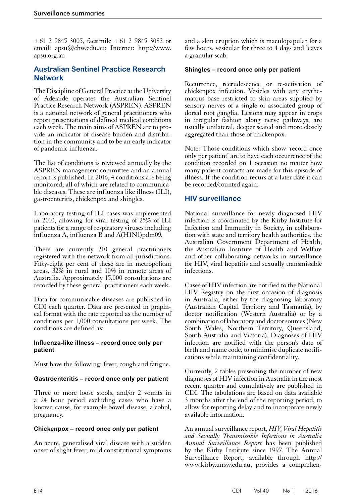+61 2 9845 3005, facsimile +61 2 9845 3082 or email: apsu@chw.edu.au; Internet: http://www. apsu.org.au

## **Australian Sentinel Practice Research Network**

The Discipline of General Practice at the University of Adelaide operates the Australian Sentinel Practice Research Network (ASPREN). ASPREN is a national network of general practitioners who report presentations of defined medical conditions each week. The main aims of ASPREN are to provide an indicator of disease burden and distribution in the community and to be an early indicator of pandemic influenza.

The list of conditions is reviewed annually by the ASPREN management committee and an annual report is published. In 2016, 4 conditions are being monitored; all of which are related to communicable diseases. These are influenza like illness (ILI), gastroenteritis, chickenpox and shingles.

Laboratory testing of ILI cases was implemented in 2010, allowing for viral testing of 25% of ILI patients for a range of respiratory viruses including influenza A, influenza B and A(H1N1)pdm09.

There are currently 210 general practitioners registered with the network from all jurisdictions. Fifty-eight per cent of these are in metropolitan areas, 32% in rural and 10% in remote areas of Australia. Approximately 15,000 consultations are recorded by these general practitioners each week.

Data for communicable diseases are published in CDI each quarter. Data are presented in graphi- cal format with the rate reported as the number of conditions per 1,000 consultations per week. The conditions are defined as:

#### **Influenza-like illness – record once only per patient**

Must have the following: fever, cough and fatigue.

#### **Gastroenteritis – record once only per patient**

Three or more loose stools, and/or 2 vomits in a 24 hour period excluding cases who have a known cause, for example bowel disease, alcohol, pregnancy.

#### **Chickenpox – record once only per patient**

An acute, generalised viral disease with a sudden onset of slight fever, mild constitutional symptoms

and a skin eruption which is maculopapular for a few hours, vesicular for three to 4 days and leaves a granular scab.

#### **Shingles – record once only per patient**

Recurrence, recrudescence or re-activation of chickenpox infection. Vesicles with any erythematous base restricted to skin areas supplied by sensory nerves of a single or associated group of dorsal root ganglia. Lesions may appear in crops in irregular fashion along nerve pathways, are usually unilateral, deeper seated and more closely aggregated than those of chickenpox.

Note: Those conditions which show 'record once only per patient' are to have each occurrence of the condition recorded on 1 occasion no matter how many patient contacts are made for this episode of illness. If the condition recurs at a later date it can be recorded/counted again.

## **HIV surveillance**

National surveillance for newly diagnosed HIV infection is coordinated by the Kirby Institute for Infection and Immunity in Society, in collaboration with state and territory health authorities, the Australian Government Department of Health, the Australian Institute of Health and Welfare and other collaborating networks in surveillance for HIV, viral hepatitis and sexually transmissible infections.

Cases of HIV infection are notified to the National HIV Registry on the first occasion of diagnosis in Australia, either by the diagnosing laboratory (Australian Capital Territory and Tasmania), by doctor notification (Western Australia) or by a combination of laboratory and doctor sources (New South Wales, Northern Territory, Queensland, South Australia and Victoria). Diagnoses of HIV infection are notified with the person's date of birth and name code, to minimise duplicate notifications while maintaining confidentiality.

Currently, 2 tables presenting the number of new diagnoses of HIV infection in Australia in the most recent quarter and cumulatively are published in CDI. The tabulations are based on data available 3 months after the end of the reporting period, to allow for reporting delay and to incorporate newly available information.

An annual surveillance report, *HIV, Viral Hepatitis and Sexually Transmissible Infections in Australia Annual Surveillance Report* has been published by the Kirby Institute since 1997. The Annual Surveillance Report, available through http:// www.kirby.unsw.edu.au, provides a comprehen-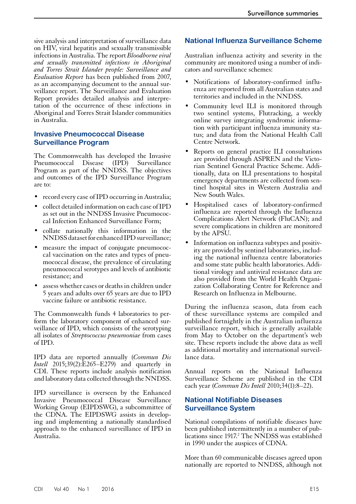sive analysis and interpretation of surveillance data on HIV, viral hepatitis and sexually transmissible infections in Australia. The report *Bloodborne viral and sexually transmitted infections in Aboriginal and Torres Strait Islander people: Surveillance and Evaluation Report* has been published from 2007, as an accompanying document to the annual surveillance report. The Surveillance and Evaluation Report provides detailed analysis and interpretation of the occurrence of these infections in Aboriginal and Torres Strait Islander communities in Australia.

## **Invasive Pneumococcal Disease Surveillance Program**

The Commonwealth has developed the Invasive Pneumococcal Disease (IPD) Surveillance Program as part of the NNDSS. The objectives and outcomes of the IPD Surveillance Program are to:

- record every case of IPD occurring in Australia;
- collect detailed information on each case of IPD as set out in the NNDSS Invasive Pneumococcal Infection Enhanced Surveillance Form;
- collate nationally this information in the NNDSS dataset for enhanced IPD surveillance;
- measure the impact of conjugate pneumococcal vaccination on the rates and types of pneumococcal disease, the prevalence of circulating pneumococcal serotypes and levels of antibiotic resistance; and
- assess whether cases or deaths in children under 5 years and adults over 65 years are due to IPD vaccine failure or antibiotic resistance.

The Commonwealth funds 4 laboratories to per-<br>form the laboratory component of enhanced sur-<br>veillance of IPD, which consists of the serotyping all isolates of *Streptococcus pneumoniae* from cases of IPD.

IPD data are reported annually (*Commun Dis Intell* 2015:39(2):E265–E279) and quarterly in CDI. These reports include analysis notification and laboratory data collected through the NNDSS.

IPD surveillance is overseen by the Enhanced Invasive Pneumococcal Disease Surveillance Working Group (EIPDSWG), a subcommittee of the CDNA. The EIPDSWG assists in developing and implementing a nationally standardised approach to the enhanced surveillance of IPD in Australia.

# **National Influenza Surveillance Scheme**

Australian influenza activity and severity in the community are monitored using a number of indicators and surveillance schemes:

- Notifications of laboratory-confirmed influ- enza are reported from all Australian states and territories and included in the NNDSS.
- Community level ILI is monitored through two sentinel systems, Flutracking, a weekly online survey integrating syndromic information with participant influenza immunity status; and data from the National Health Call Centre Network.
- Reports on general practice ILI consultations are provided through ASPREN and the Victo- rian Sentinel General Practice Scheme. Addi- tionally, data on ILI presentations to hospital emergency departments are collected from sen- tinel hospital sites in Western Australia and New South Wales.
- Hospitalised cases of laboratory-confirmed influenza are reported through the Influenza Complications Alert Network (FluCAN); and severe complications in children are monitored by the APSU.
- Information on influenza subtypes and positivity are provided by sentinel laboratories, including the national influenza centre laboratories and some state public health laboratories. Additional virology and antiviral resistance data are also provided from the World Health Organization Collaborating Centre for Reference and Research on Influenza in Melbourne.

During the influenza season, data from each of these surveillance systems are compiled and published fortnightly in the Australian influenza surveillance report, which is generally available from May to October on the department's web site. These reports include the above data as well as additional mortality and international surveillance data.

Annual reports on the National Influenza Surveillance Scheme are published in the CDI each year (*Commun Dis Intell* 2010;34(1):8–22).

# **National Notifiable Diseases Surveillance System**

National compilations of notifiable diseases have been published intermittently in a number of publications since 1917.<sup>2</sup> The NNDSS was established in 1990 under the auspices of CDNA.

More than 60 communicable diseases agreed upon nationally are reported to NNDSS, although not